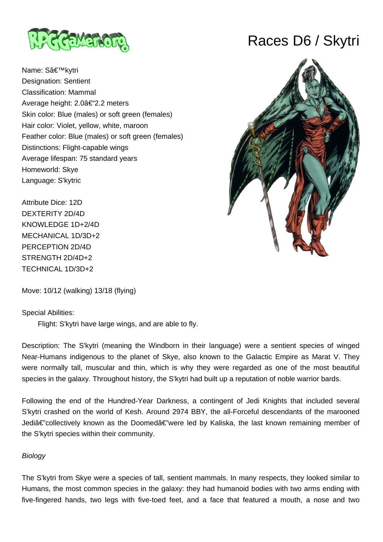

Name: S'kytri Designation: Sentient Classification: Mammal Average height: 2.0â€"2.2 meters Skin color: Blue (males) or soft green (females) Hair color: Violet, yellow, white, maroon Feather color: Blue (males) or soft green (females) Distinctions: Flight-capable wings Average lifespan: 75 standard years Homeworld: Skye Language: S'kytric

Attribute Dice: 12D DEXTERITY 2D/4D KNOWLEDGE 1D+2/4D MECHANICAL 1D/3D+2 PERCEPTION 2D/4D STRENGTH 2D/4D+2 TECHNICAL 1D/3D+2

Move: 10/12 (walking) 13/18 (flying)

# Special Abilities:

Flight: S'kytri have large wings, and are able to fly.

Description: The S'kytri (meaning the Windborn in their language) were a sentient species of winged Near-Humans indigenous to the planet of Skye, also known to the Galactic Empire as Marat V. They were normally tall, muscular and thin, which is why they were regarded as one of the most beautiful species in the galaxy. Throughout history, the S'kytri had built up a reputation of noble warrior bards.

Following the end of the Hundred-Year Darkness, a contingent of Jedi Knights that included several S'kytri crashed on the world of Kesh. Around 2974 BBY, the all-Forceful descendants of the marooned Jediâ€"collectively known as the Doomedâ€"were led by Kaliska, the last known remaining member of the S'kytri species within their community.

# **Biology**

The S'kytri from Skye were a species of tall, sentient mammals. In many respects, they looked similar to Humans, the most common species in the galaxy: they had humanoid bodies with two arms ending with five-fingered hands, two legs with five-toed feet, and a face that featured a mouth, a nose and two

# Races D6 / Skytri

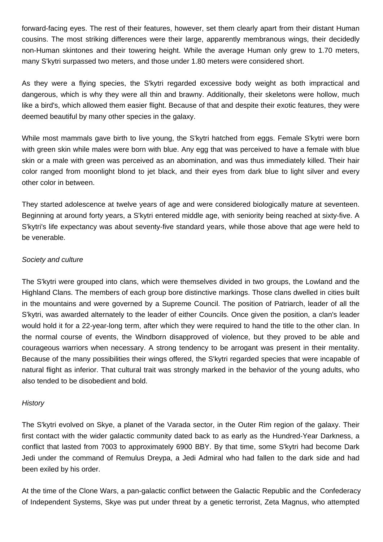forward-facing eyes. The rest of their features, however, set them clearly apart from their distant Human cousins. The most striking differences were their large, apparently membranous wings, their decidedly non-Human skintones and their towering height. While the average Human only grew to 1.70 meters, many S'kytri surpassed two meters, and those under 1.80 meters were considered short.

As they were a flying species, the S'kytri regarded excessive body weight as both impractical and dangerous, which is why they were all thin and brawny. Additionally, their skeletons were hollow, much like a bird's, which allowed them easier flight. Because of that and despite their exotic features, they were deemed beautiful by many other species in the galaxy.

While most mammals gave birth to live young, the S'kytri hatched from eggs. Female S'kytri were born with green skin while males were born with blue. Any egg that was perceived to have a female with blue skin or a male with green was perceived as an abomination, and was thus immediately killed. Their hair color ranged from moonlight blond to jet black, and their eyes from dark blue to light silver and every other color in between.

They started adolescence at twelve years of age and were considered biologically mature at seventeen. Beginning at around forty years, a S'kytri entered middle age, with seniority being reached at sixty-five. A S'kytri's life expectancy was about seventy-five standard years, while those above that age were held to be venerable.

### Society and culture

The S'kytri were grouped into clans, which were themselves divided in two groups, the Lowland and the Highland Clans. The members of each group bore distinctive markings. Those clans dwelled in cities built in the mountains and were governed by a Supreme Council. The position of Patriarch, leader of all the S'kytri, was awarded alternately to the leader of either Councils. Once given the position, a clan's leader would hold it for a 22-year-long term, after which they were required to hand the title to the other clan. In the normal course of events, the Windborn disapproved of violence, but they proved to be able and courageous warriors when necessary. A strong tendency to be arrogant was present in their mentality. Because of the many possibilities their wings offered, the S'kytri regarded species that were incapable of natural flight as inferior. That cultural trait was strongly marked in the behavior of the young adults, who also tended to be disobedient and bold.

# **History**

The S'kytri evolved on Skye, a planet of the Varada sector, in the Outer Rim region of the galaxy. Their first contact with the wider galactic community dated back to as early as the Hundred-Year Darkness, a conflict that lasted from 7003 to approximately 6900 BBY. By that time, some S'kytri had become Dark Jedi under the command of Remulus Dreypa, a Jedi Admiral who had fallen to the dark side and had been exiled by his order.

At the time of the Clone Wars, a pan-galactic conflict between the Galactic Republic and the Confederacy of Independent Systems, Skye was put under threat by a genetic terrorist, Zeta Magnus, who attempted